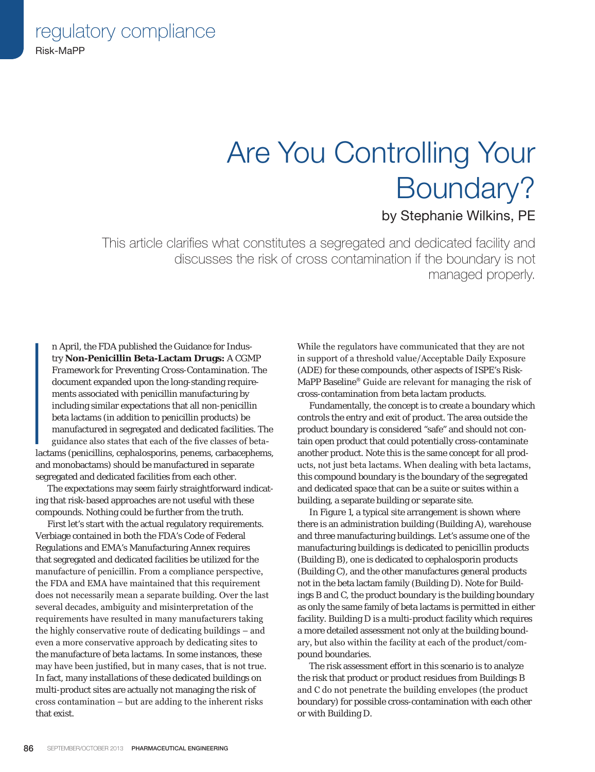regulatory compliance Risk-MaPP

# Are You Controlling Your Boundary?

### by Stephanie Wilkins, PE

This article clarifies what constitutes a segregated and dedicated facility and discusses the risk of cross contamination if the boundary is not managed properly.

|<br>|<br>|<br>|<br>|<br>|<br>|<br>|<br>| n April, the FDA published the Guidance for Industry **Non-Penicillin Beta-Lactam Drugs:** *A CGMP Framework for Preventing Cross-Contamination*. The document expanded upon the long-standing requirements associated with penicillin manufacturing by including similar expectations that all non-penicillin beta lactams (in addition to penicillin products) be manufactured in segregated and dedicated facilities. The guidance also states that each of the five classes of betalactams (penicillins, cephalosporins, penems, carbacephems, and monobactams) should be manufactured in separate segregated and dedicated facilities from each other.

The expectations may seem fairly straightforward indicating that risk-based approaches are not useful with these compounds. Nothing could be further from the truth.

First let's start with the actual regulatory requirements. Verbiage contained in both the FDA's Code of Federal Regulations and EMA's Manufacturing Annex requires that segregated and dedicated facilities be utilized for the manufacture of penicillin. From a compliance perspective, the FDA and EMA have maintained that this requirement does not necessarily mean a separate building. Over the last several decades, ambiguity and misinterpretation of the requirements have resulted in many manufacturers taking the highly conservative route of dedicating buildings – and even a more conservative approach by dedicating sites to the manufacture of beta lactams. In some instances, these may have been justified, but in many cases, that is not true. In fact, many installations of these dedicated buildings on multi-product sites are actually not managing the risk of cross contamination – but are adding to the inherent risks that exist.

While the regulators have communicated that they are not in support of a threshold value/Acceptable Daily Exposure (ADE) for these compounds, other aspects of ISPE's Risk-MaPP Baseline® Guide are relevant for managing the risk of cross-contamination from beta lactam products.

Fundamentally, the concept is to create a boundary which controls the entry and exit of product. The area outside the product boundary is considered "safe" and should not contain open product that could potentially cross-contaminate another product. Note this is the same concept for all products, not just beta lactams. When dealing with beta lactams, this compound boundary is the boundary of the segregated and dedicated space that can be a suite or suites within a building, a separate building or separate site.

In Figure 1, a typical site arrangement is shown where there is an administration building (Building A), warehouse and three manufacturing buildings. Let's assume one of the manufacturing buildings is dedicated to penicillin products (Building B), one is dedicated to cephalosporin products (Building C), and the other manufactures general products not in the beta lactam family (Building D). Note for Buildings B and C, the product boundary is the building boundary as only the same family of beta lactams is permitted in either facility. Building D is a multi-product facility which requires a more detailed assessment not only at the building boundary, but also within the facility at each of the product/compound boundaries.

The risk assessment effort in this scenario is to analyze the risk that product or product residues from Buildings B and C do not penetrate the building envelopes (the product boundary) for possible cross-contamination with each other or with Building D.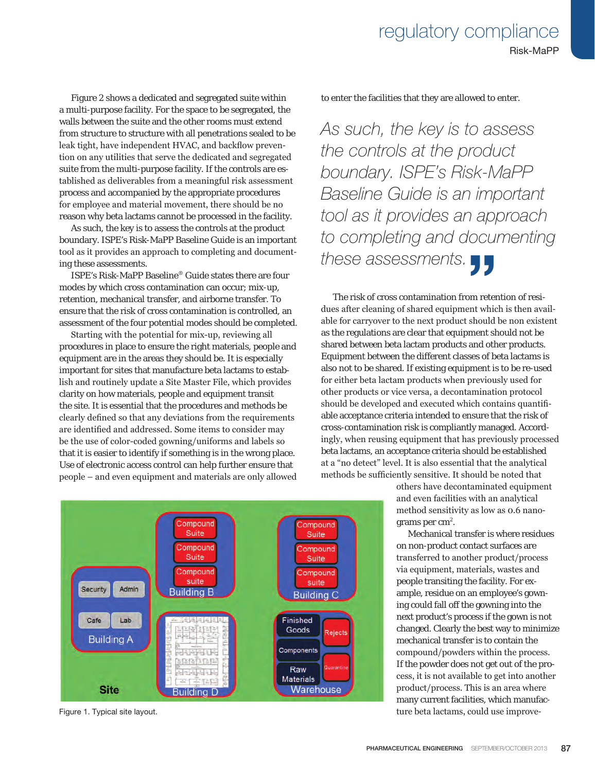Figure 2 shows a dedicated and segregated suite within a multi-purpose facility. For the space to be segregated, the walls between the suite and the other rooms must extend from structure to structure with all penetrations sealed to be leak tight, have independent HVAC, and backflow prevention on any utilities that serve the dedicated and segregated suite from the multi-purpose facility. If the controls are established as deliverables from a meaningful risk assessment process and accompanied by the appropriate procedures for employee and material movement, there should be no reason why beta lactams cannot be processed in the facility.

As such, the key is to assess the controls at the product boundary. ISPE's Risk-MaPP Baseline Guide is an important tool as it provides an approach to completing and documenting these assessments.

ISPE's Risk-MaPP Baseline® Guide states there are four modes by which cross contamination can occur; mix-up, retention, mechanical transfer, and airborne transfer. To ensure that the risk of cross contamination is controlled, an assessment of the four potential modes should be completed.

Starting with the potential for mix-up, reviewing all procedures in place to ensure the right materials, people and equipment are in the areas they should be. It is especially important for sites that manufacture beta lactams to establish and routinely update a Site Master File, which provides clarity on how materials, people and equipment transit the site. It is essential that the procedures and methods be clearly defined so that any deviations from the requirements are identified and addressed. Some items to consider may be the use of color-coded gowning/uniforms and labels so that it is easier to identify if something is in the wrong place. Use of electronic access control can help further ensure that people – and even equipment and materials are only allowed



*As such, the key is to assess the controls at the product boundary. ISPE's Risk-MaPP Baseline Guide is an important tool as it provides an approach to completing and documenting these assessments.* THE SUBSERVIEW OF THE STRING OF THE STRING OF THE STRING OF THE STRING OF THE STRING OF THE STRING OF THE STRING OF THE STRING OF THE STRING OF THE STRING OF THE STRING OF THE STRING OF THE STRING OF THE STRING OF THE STRI

The risk of cross contamination from retention of resi dues after cleaning of shared equipment which is then available for carryover to the next product should be non existent as the regulations are clear that equipment should not be shared between beta lactam products and other products. Equipment between the different classes of beta lactams is also not to be shared. If existing equipment is to be re-used for either beta lactam products when previously used for other products or vice versa, a decontamination protocol should be developed and executed which contains quantifiable acceptance criteria intended to ensure that the risk of cross-contamination risk is compliantly managed. Accordingly, when reusing equipment that has previously processed beta lactams, an acceptance criteria should be established at a "no detect" level. It is also essential that the analytical methods be sufficiently sensitive. It should be noted that

> others have decontaminated equipment and even facilities with an analytical method sensitivity as low as 0.6 nanograms per  $\text{cm}^2$ .

Mechanical transfer is where residues on non-product contact surfaces are transferred to another product/process via equipment, materials, wastes and people transiting the facility. For example, residue on an employee's gowning could fall off the gowning into the next product's process if the gown is not changed. Clearly the best way to minimize mechanical transfer is to contain the compound/powders within the process. If the powder does not get out of the process, it is not available to get into another product/process. This is an area where many current facilities, which manufac-Figure 1. Typical site layout. ture beta lactams, could use improve-

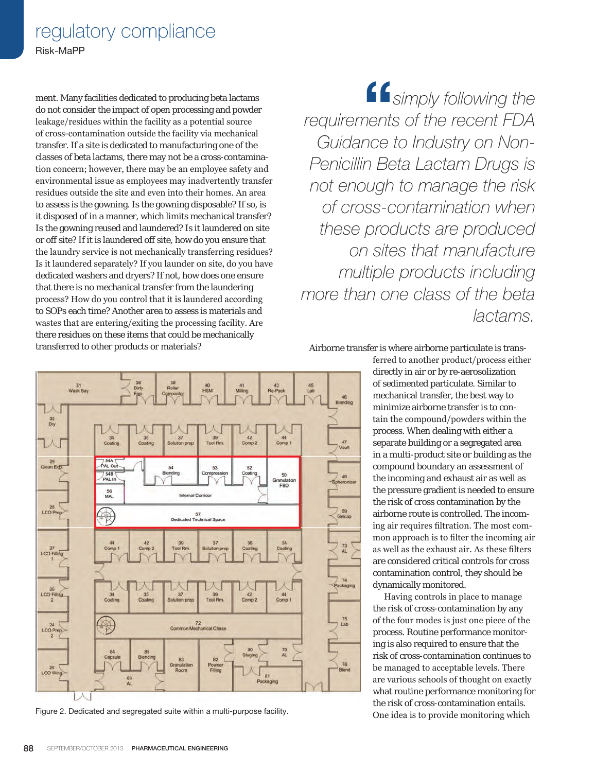## regulatory compliance

Risk-MaPP

ment. Many facilities dedicated to producing beta lactams do not consider the impact of open processing and powder leakage/residues within the facility as a potential source of cross-contamination outside the facility via mechanical transfer. If a site is dedicated to manufacturing one of the classes of beta lactams, there may not be a cross-contamination concern; however, there may be an employee safety and environmental issue as employees may inadvertently transfer residues outside the site and even into their homes. An area to assess is the gowning. Is the gowning disposable? If so, is it disposed of in a manner, which limits mechanical transfer? Is the gowning reused and laundered? Is it laundered on site or off site? If it is laundered off site, how do you ensure that the laundry service is not mechanically transferring residues? Is it laundered separately? If you launder on site, do you have dedicated washers and dryers? If not, how does one ensure that there is no mechanical transfer from the laundering process? How do you control that it is laundered according to SOPs each time? Another area to assess is materials and wastes that are entering/exiting the processing facility. Are there residues on these items that could be mechanically transferred to other products or materials?

"*simply following the requirements of the recent FDA Guidance to Industry on Non-Penicillin Beta Lactam Drugs is not enough to manage the risk of cross-contamination when these products are produced on sites that manufacture multiple products including more than one class of the beta lactams.*

Airborne transfer is where airborne particulate is trans-

ferred to another product/process either directly in air or by re-aerosolization of sedimented particulate. Similar to mechanical transfer, the best way to minimize airborne transfer is to contain the compound/powders within the process. When dealing with either a separate building or a segregated area in a multi-product site or building as the compound boundary an assessment of the incoming and exhaust air as well as the pressure gradient is needed to ensure the risk of cross contamination by the airborne route is controlled. The incoming air requires filtration. The most common approach is to filter the incoming air as well as the exhaust air. As these filters are considered critical controls for cross contamination control, they should be dynamically monitored.

Having controls in place to manage the risk of cross-contamination by any of the four modes is just one piece of the process. Routine performance monitoring is also required to ensure that the risk of cross-contamination continues to be managed to acceptable levels. There are various schools of thought on exactly what routine performance monitoring for the risk of cross-contamination entails.



Figure 2. Dedicated and segregated suite within a multi-purpose facility. One idea is to provide monitoring which